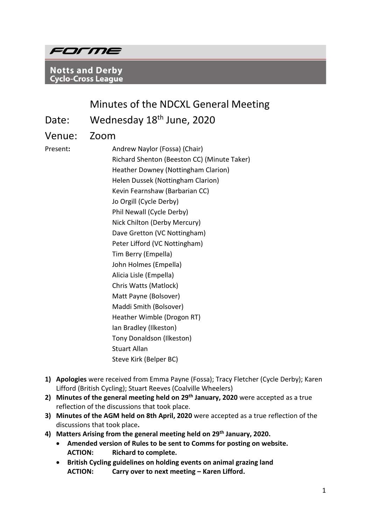

**Notts and Derby Cyclo-Cross League** 

# Minutes of the NDCXL General Meeting

Date: Wednesday 18<sup>th</sup> June, 2020

Venue: Zoom

Present**:** Andrew Naylor (Fossa) (Chair) Richard Shenton (Beeston CC) (Minute Taker) Heather Downey (Nottingham Clarion) Helen Dussek (Nottingham Clarion) Kevin Fearnshaw (Barbarian CC) Jo Orgill (Cycle Derby) Phil Newall (Cycle Derby) Nick Chilton (Derby Mercury) Dave Gretton (VC Nottingham) Peter Lifford (VC Nottingham) Tim Berry (Empella) John Holmes (Empella) Alicia Lisle (Empella) Chris Watts (Matlock) Matt Payne (Bolsover) Maddi Smith (Bolsover) Heather Wimble (Drogon RT) Ian Bradley (Ilkeston) Tony Donaldson (Ilkeston) Stuart Allan Steve Kirk (Belper BC)

- **1) Apologies** were received from Emma Payne (Fossa); Tracy Fletcher (Cycle Derby); Karen Lifford (British Cycling); Stuart Reeves (Coalville Wheelers)
- **2) Minutes of the general meeting held on 29th January, 2020** were accepted as a true reflection of the discussions that took place.
- **3) Minutes of the AGM held on 8th April, 2020** were accepted as a true reflection of the discussions that took place**.**
- **4) Matters Arising from the general meeting held on 29th January, 2020.** 
	- **Amended version of Rules to be sent to Comms for posting on website. ACTION: Richard to complete.**
	- **British Cycling guidelines on holding events on animal grazing land ACTION: Carry over to next meeting – Karen Lifford.**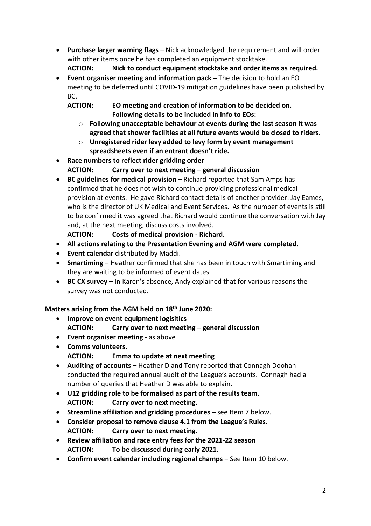- **Purchase larger warning flags –** Nick acknowledged the requirement and will order with other items once he has completed an equipment stocktake. **ACTION: Nick to conduct equipment stocktake and order items as required.**
- **Event organiser meeting and information pack –** The decision to hold an EO meeting to be deferred until COVID-19 mitigation guidelines have been published by BC.
	- **ACTION: EO meeting and creation of information to be decided on. Following details to be included in info to EOs:** 
		- o **Following unacceptable behaviour at events during the last season it was agreed that shower facilities at all future events would be closed to riders.**
		- o **Unregistered rider levy added to levy form by event management spreadsheets even if an entrant doesn't ride.**
- **Race numbers to reflect rider gridding order ACTION: Carry over to next meeting – general discussion**
- **BC guidelines for medical provision –** Richard reported that Sam Amps has confirmed that he does not wish to continue providing professional medical provision at events. He gave Richard contact details of another provider: Jay Eames, who is the director of UK Medical and Event Services. As the number of events is still to be confirmed it was agreed that Richard would continue the conversation with Jay and, at the next meeting, discuss costs involved.

**ACTION: Costs of medical provision - Richard.** 

- **All actions relating to the Presentation Evening and AGM were completed.**
- **Event calendar** distributed by Maddi.
- **Smartiming –** Heather confirmed that she has been in touch with Smartiming and they are waiting to be informed of event dates.
- **BC CX survey –** In Karen's absence, Andy explained that for various reasons the survey was not conducted.

# **Matters arising from the AGM held on 18th June 2020:**

- **Improve on event equipment logisitics** 
	- **ACTION: Carry over to next meeting – general discussion**
- **Event organiser meeting -** as above
- **Comms volunteers. ACTION: Emma to update at next meeting**
- **Auditing of accounts –** Heather D and Tony reported that Connagh Doohan conducted the required annual audit of the League's accounts. Connagh had a number of queries that Heather D was able to explain.
- **U12 gridding role to be formalised as part of the results team. ACTION: Carry over to next meeting.**
- **Streamline affiliation and gridding procedures –** see Item 7 below.
- **Consider proposal to remove clause 4.1 from the League's Rules. ACTION: Carry over to next meeting.**
- **Review affiliation and race entry fees for the 2021-22 season ACTION: To be discussed during early 2021.**
- **Confirm event calendar including regional champs –** See Item 10 below.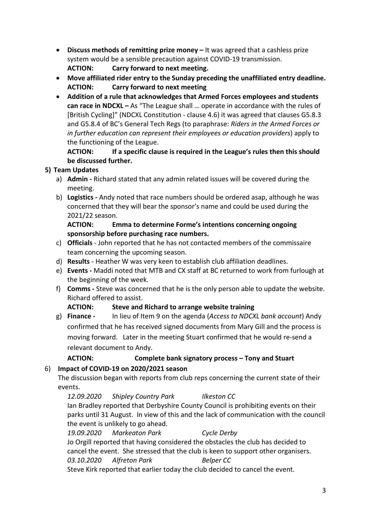- **Discuss methods of remitting prize money –** It was agreed that a cashless prize system would be a sensible precaution against COVID-19 transmission. **ACTION: Carry forward to next meeting.**
- **Move affiliated rider entry to the Sunday preceding the unaffiliated entry deadline. ACTION: Carry forward to next meeting**
- **Addition of a rule that acknowledges that Armed Forces employees and students can race in NDCXL –** As "The League shall … operate in accordance with the rules of [British Cycling]" (NDCXL Constitution - clause 4.6) it was agreed that clauses G5.8.3 and G5.8.4 of BC's General Tech Regs (to paraphrase: *Riders in the Armed Forces or in further education can represent their employees or education providers*) apply to the functioning of the League.

**ACTION: If a specific clause is required in the League's rules then this should be discussed further.** 

# **5) Team Updates**

- a) **Admin -** Richard stated that any admin related issues will be covered during the meeting.
- b) **Logistics -** Andy noted that race numbers should be ordered asap, although he was concerned that they will bear the sponsor's name and could be used during the 2021/22 season.

# **ACTION: Emma to determine Forme's intentions concerning ongoing sponsorship before purchasing race numbers.**

- c) **Officials** John reported that he has not contacted members of the commissaire team concerning the upcoming season.
- d) **Results**  Heather W was very keen to establish club affiliation deadlines.
- e) **Events -** Maddi noted that MTB and CX staff at BC returned to work from furlough at the beginning of the week.
- f) **Comms -** Steve was concerned that he is the only person able to update the website. Richard offered to assist.

## **ACTION: Steve and Richard to arrange website training**

g) **Finance -** In lieu of Item 9 on the agenda (*Access to NDCXL bank account*) Andy confirmed that he has received signed documents from Mary Gill and the process is moving forward. Later in the meeting Stuart confirmed that he would re-send a relevant document to Andy.

# **ACTION: Complete bank signatory process – Tony and Stuart**

# 6) **Impact of COVID-19 on 2020/2021 season**

The discussion began with reports from club reps concerning the current state of their events.

*12.09.2020 Shipley Country Park Ilkeston CC* Ian Bradley reported that Derbyshire County Council is prohibiting events on their parks until 31 August. In view of this and the lack of communication with the council the event is unlikely to go ahead.

*19.09.2020 Markeaton Park Cycle Derby* Jo Orgill reported that having considered the obstacles the club has decided to cancel the event. She stressed that the club is keen to support other organisers. 03.10.2020 Alfreton Park Belper CC

Steve Kirk reported that earlier today the club decided to cancel the event.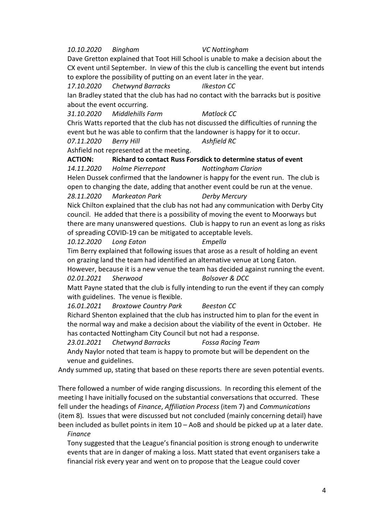#### *10.10.2020 Bingham VC Nottingham*

Dave Gretton explained that Toot Hill School is unable to make a decision about the CX event until September. In view of this the club is cancelling the event but intends to explore the possibility of putting on an event later in the year.

*17.10.2020 Chetwynd Barracks Ilkeston CC*

Ian Bradley stated that the club has had no contact with the barracks but is positive about the event occurring.

*31.10.2020 Middlehills Farm Matlock CC*

Chris Watts reported that the club has not discussed the difficulties of running the event but he was able to confirm that the landowner is happy for it to occur.

*07.11.2020 Berry Hill Ashfield RC*

Ashfield not represented at the meeting.

#### **ACTION: Richard to contact Russ Forsdick to determine status of event** *14.11.2020 Holme Pierrepont Nottingham Clarion*

Helen Dussek confirmed that the landowner is happy for the event run. The club is open to changing the date, adding that another event could be run at the venue. *28.11.2020 Markeaton Park Derby Mercury*

Nick Chilton explained that the club has not had any communication with Derby City council. He added that there is a possibility of moving the event to Moorways but there are many unanswered questions. Club is happy to run an event as long as risks of spreading COVID-19 can be mitigated to acceptable levels.

*10.12.2020 Long Eaton Empella*

Tim Berry explained that following issues that arose as a result of holding an event on grazing land the team had identified an alternative venue at Long Eaton.

However, because it is a new venue the team has decided against running the event. *02.01.2021 Sherwood Bolsover & DCC*

Matt Payne stated that the club is fully intending to run the event if they can comply with guidelines. The venue is flexible.

*16.01.2021 Broxtowe Country Park Beeston CC*

Richard Shenton explained that the club has instructed him to plan for the event in the normal way and make a decision about the viability of the event in October. He has contacted Nottingham City Council but not had a response.

*23.01.2021 Chetwynd Barracks Fossa Racing Team*

Andy Naylor noted that team is happy to promote but will be dependent on the venue and guidelines.

Andy summed up, stating that based on these reports there are seven potential events.

There followed a number of wide ranging discussions. In recording this element of the meeting I have initially focused on the substantial conversations that occurred. These fell under the headings of *Finance*, *Affiliation Process* (item 7) and *Communications*  (item 8)*.* Issues that were discussed but not concluded (mainly concerning detail) have been included as bullet points in item 10 – AoB and should be picked up at a later date.

#### *Finance*

Tony suggested that the League's financial position is strong enough to underwrite events that are in danger of making a loss. Matt stated that event organisers take a financial risk every year and went on to propose that the League could cover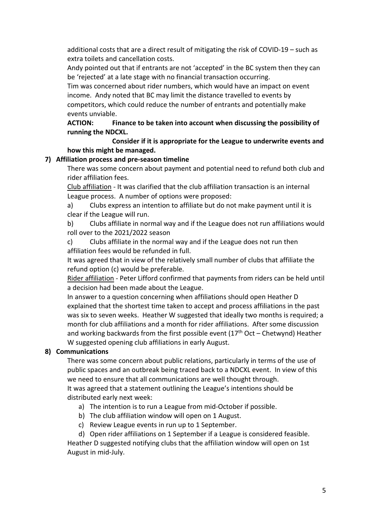additional costs that are a direct result of mitigating the risk of COVID-19 – such as extra toilets and cancellation costs.

Andy pointed out that if entrants are not 'accepted' in the BC system then they can be 'rejected' at a late stage with no financial transaction occurring.

Tim was concerned about rider numbers, which would have an impact on event income. Andy noted that BC may limit the distance travelled to events by

competitors, which could reduce the number of entrants and potentially make events unviable.

## **ACTION: Finance to be taken into account when discussing the possibility of running the NDCXL.**

**Consider if it is appropriate for the League to underwrite events and how this might be managed.** 

# **7) Affiliation process and pre-season timeline**

There was some concern about payment and potential need to refund both club and rider affiliation fees.

Club affiliation - It was clarified that the club affiliation transaction is an internal League process. A number of options were proposed:

a) Clubs express an intention to affiliate but do not make payment until it is clear if the League will run.

b) Clubs affiliate in normal way and if the League does not run affiliations would roll over to the 2021/2022 season

c) Clubs affiliate in the normal way and if the League does not run then affiliation fees would be refunded in full.

It was agreed that in view of the relatively small number of clubs that affiliate the refund option (c) would be preferable.

Rider affiliation - Peter Lifford confirmed that payments from riders can be held until a decision had been made about the League.

In answer to a question concerning when affiliations should open Heather D explained that the shortest time taken to accept and process affiliations in the past was six to seven weeks. Heather W suggested that ideally two months is required; a month for club affiliations and a month for rider affiliations. After some discussion and working backwards from the first possible event  $(17<sup>th</sup> Oct - Chetwynd)$  Heather W suggested opening club affiliations in early August.

# **8) Communications**

There was some concern about public relations, particularly in terms of the use of public spaces and an outbreak being traced back to a NDCXL event. In view of this we need to ensure that all communications are well thought through.

It was agreed that a statement outlining the League's intentions should be distributed early next week:

- a) The intention is to run a League from mid-October if possible.
- b) The club affiliation window will open on 1 August.
- c) Review League events in run up to 1 September.

d) Open rider affiliations on 1 September if a League is considered feasible. Heather D suggested notifying clubs that the affiliation window will open on 1st August in mid-July.